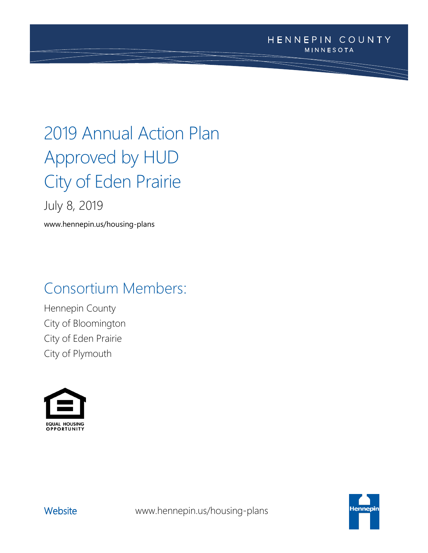# 2019 Annual Action Plan Approved by HUD City of Eden Prairie

July 8, 2019

www.hennepin.us/housing-plans

## Consortium Members:

Hennepin County City of Bloomington City of Eden Prairie City of Plymouth





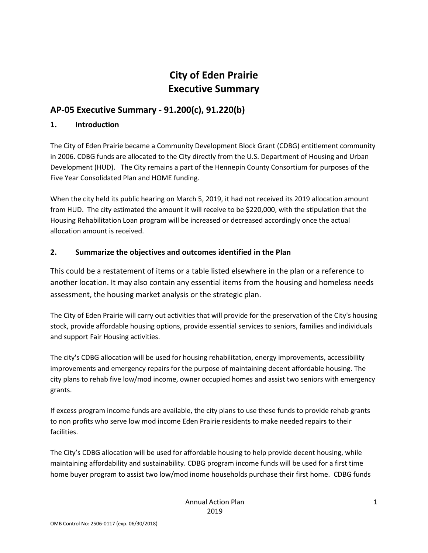## **City of Eden Prairie Executive Summary**

## **AP-05 Executive Summary - 91.200(c), 91.220(b)**

#### **1. Introduction**

The City of Eden Prairie became a Community Development Block Grant (CDBG) entitlement community in 2006. CDBG funds are allocated to the City directly from the U.S. Department of Housing and Urban Development (HUD). The City remains a part of the Hennepin County Consortium for purposes of the Five Year Consolidated Plan and HOME funding.

When the city held its public hearing on March 5, 2019, it had not received its 2019 allocation amount from HUD. The city estimated the amount it will receive to be \$220,000, with the stipulation that the Housing Rehabilitation Loan program will be increased or decreased accordingly once the actual allocation amount is received.

#### **2. Summarize the objectives and outcomes identified in the Plan**

This could be a restatement of items or a table listed elsewhere in the plan or a reference to another location. It may also contain any essential items from the housing and homeless needs assessment, the housing market analysis or the strategic plan.

The City of Eden Prairie will carry out activities that will provide for the preservation of the City's housing stock, provide affordable housing options, provide essential services to seniors, families and individuals and support Fair Housing activities.

The city's CDBG allocation will be used for housing rehabilitation, energy improvements, accessibility improvements and emergency repairs for the purpose of maintaining decent affordable housing. The city plans to rehab five low/mod income, owner occupied homes and assist two seniors with emergency grants.

If excess program income funds are available, the city plans to use these funds to provide rehab grants to non profits who serve low mod income Eden Prairie residents to make needed repairs to their facilities.

The City's CDBG allocation will be used for affordable housing to help provide decent housing, while maintaining affordability and sustainability. CDBG program income funds will be used for a first time home buyer program to assist two low/mod inome households purchase their first home. CDBG funds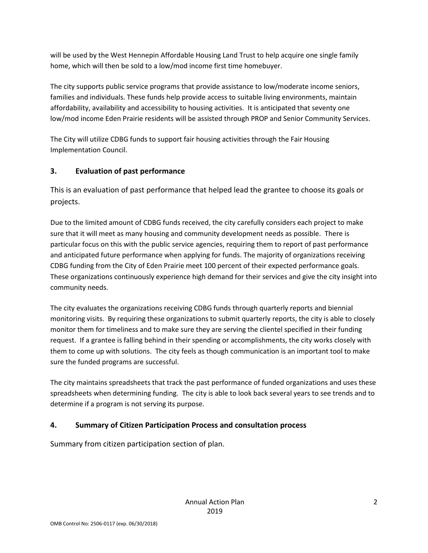will be used by the West Hennepin Affordable Housing Land Trust to help acquire one single family home, which will then be sold to a low/mod income first time homebuyer.

The city supports public service programs that provide assistance to low/moderate income seniors, families and individuals. These funds help provide access to suitable living environments, maintain affordability, availability and accessibility to housing activities. It is anticipated that seventy one low/mod income Eden Prairie residents will be assisted through PROP and Senior Community Services.

The City will utilize CDBG funds to support fair housing activities through the Fair Housing Implementation Council.

### **3. Evaluation of past performance**

This is an evaluation of past performance that helped lead the grantee to choose its goals or projects.

Due to the limited amount of CDBG funds received, the city carefully considers each project to make sure that it will meet as many housing and community development needs as possible. There is particular focus on this with the public service agencies, requiring them to report of past performance and anticipated future performance when applying for funds. The majority of organizations receiving CDBG funding from the City of Eden Prairie meet 100 percent of their expected performance goals. These organizations continuously experience high demand for their services and give the city insight into community needs.

The city evaluates the organizations receiving CDBG funds through quarterly reports and biennial monitoring visits. By requiring these organizations to submit quarterly reports, the city is able to closely monitor them for timeliness and to make sure they are serving the clientel specified in their funding request. If a grantee is falling behind in their spending or accomplishments, the city works closely with them to come up with solutions. The city feels as though communication is an important tool to make sure the funded programs are successful.

The city maintains spreadsheets that track the past performance of funded organizations and uses these spreadsheets when determining funding. The city is able to look back several years to see trends and to determine if a program is not serving its purpose.

#### **4. Summary of Citizen Participation Process and consultation process**

Summary from citizen participation section of plan.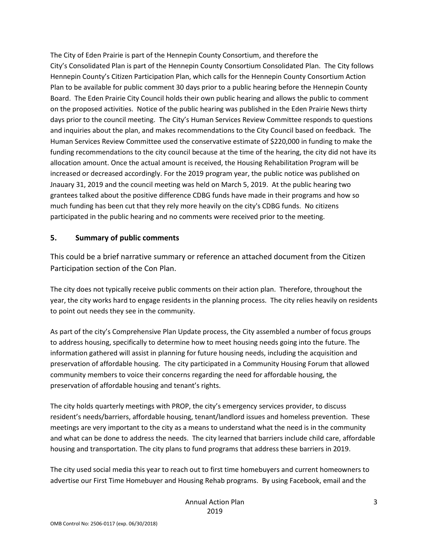The City of Eden Prairie is part of the Hennepin County Consortium, and therefore the City's Consolidated Plan is part of the Hennepin County Consortium Consolidated Plan. The City follows Hennepin County's Citizen Participation Plan, which calls for the Hennepin County Consortium Action Plan to be available for public comment 30 days prior to a public hearing before the Hennepin County Board. The Eden Prairie City Council holds their own public hearing and allows the public to comment on the proposed activities. Notice of the public hearing was published in the Eden Prairie News thirty days prior to the council meeting. The City's Human Services Review Committee responds to questions and inquiries about the plan, and makes recommendations to the City Council based on feedback. The Human Services Review Committee used the conservative estimate of \$220,000 in funding to make the funding recommendations to the city council because at the time of the hearing, the city did not have its allocation amount. Once the actual amount is received, the Housing Rehabilitation Program will be increased or decreased accordingly. For the 2019 program year, the public notice was published on Jnauary 31, 2019 and the council meeting was held on March 5, 2019. At the public hearing two grantees talked about the positive difference CDBG funds have made in their programs and how so much funding has been cut that they rely more heavily on the city's CDBG funds. No citizens participated in the public hearing and no comments were received prior to the meeting.

#### **5. Summary of public comments**

This could be a brief narrative summary or reference an attached document from the Citizen Participation section of the Con Plan.

The city does not typically receive public comments on their action plan. Therefore, throughout the year, the city works hard to engage residents in the planning process. The city relies heavily on residents to point out needs they see in the community.

As part of the city's Comprehensive Plan Update process, the City assembled a number of focus groups to address housing, specifically to determine how to meet housing needs going into the future. The information gathered will assist in planning for future housing needs, including the acquisition and preservation of affordable housing. The city participated in a Community Housing Forum that allowed community members to voice their concerns regarding the need for affordable housing, the preservation of affordable housing and tenant's rights.

The city holds quarterly meetings with PROP, the city's emergency services provider, to discuss resident's needs/barriers, affordable housing, tenant/landlord issues and homeless prevention. These meetings are very important to the city as a means to understand what the need is in the community and what can be done to address the needs. The city learned that barriers include child care, affordable housing and transportation. The city plans to fund programs that address these barriers in 2019.

The city used social media this year to reach out to first time homebuyers and current homeowners to advertise our First Time Homebuyer and Housing Rehab programs. By using Facebook, email and the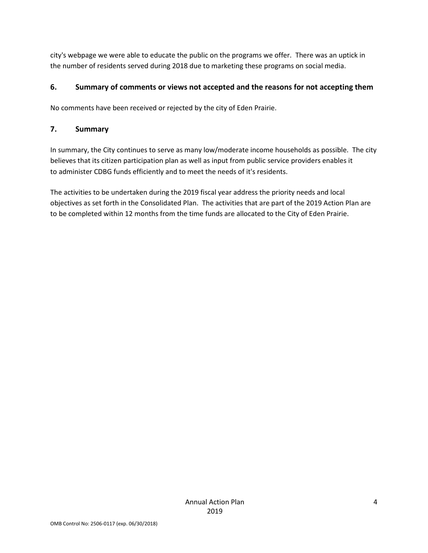city's webpage we were able to educate the public on the programs we offer. There was an uptick in the number of residents served during 2018 due to marketing these programs on social media.

#### **6. Summary of comments or views not accepted and the reasons for not accepting them**

No comments have been received or rejected by the city of Eden Prairie.

#### **7. Summary**

In summary, the City continues to serve as many low/moderate income households as possible. The city believes that its citizen participation plan as well as input from public service providers enables it to administer CDBG funds efficiently and to meet the needs of it's residents.

The activities to be undertaken during the 2019 fiscal year address the priority needs and local objectives as set forth in the Consolidated Plan. The activities that are part of the 2019 Action Plan are to be completed within 12 months from the time funds are allocated to the City of Eden Prairie.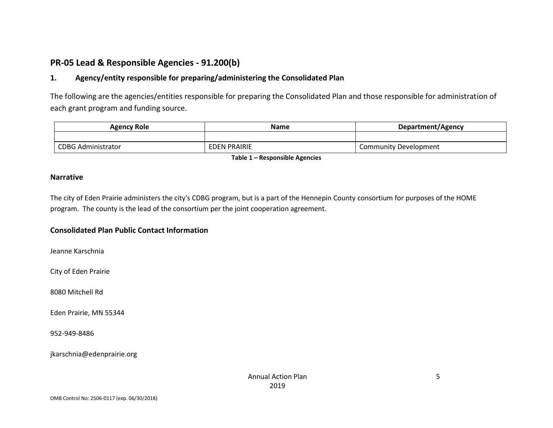## **PR-05 Lead & Responsible Agencies - 91.200(b)**

#### **1. Agency/entity responsible for preparing/administering the Consolidated Plan**

The following are the agencies/entities responsible for preparing the Consolidated Plan and those responsible for administration of each grant program and funding source.

| <b>Agency Role</b>        | Name                | Department/Agency     |
|---------------------------|---------------------|-----------------------|
|                           |                     |                       |
| <b>CDBG Administrator</b> | <b>EDEN PRAIRIE</b> | Community Development |

**Table 1 – Responsible Agencies**

#### **Narrative**

The city of Eden Prairie administers the city's CDBG program, but is a part of the Hennepin County consortium for purposes of the HOME program. The county is the lead of the consortium per the joint cooperation agreement.

#### **Consolidated Plan Public Contact Information**

Jeanne Karschnia

City of Eden Prairie

8080 Mitchell Rd

Eden Prairie, MN 55344

952-949-8486

jkarschnia@edenprairie.org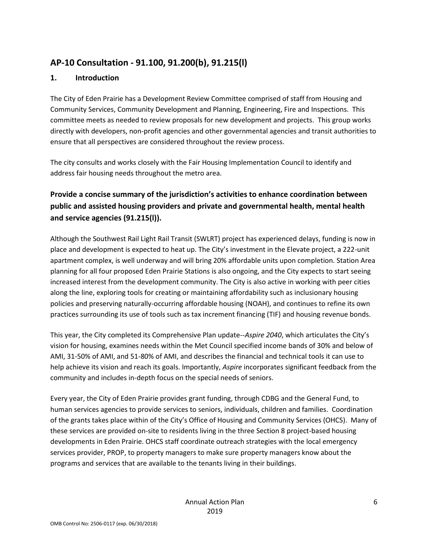## **AP-10 Consultation - 91.100, 91.200(b), 91.215(l)**

#### **1. Introduction**

The City of Eden Prairie has a Development Review Committee comprised of staff from Housing and Community Services, Community Development and Planning, Engineering, Fire and Inspections. This committee meets as needed to review proposals for new development and projects. This group works directly with developers, non-profit agencies and other governmental agencies and transit authorities to ensure that all perspectives are considered throughout the review process.

The city consults and works closely with the Fair Housing Implementation Council to identify and address fair housing needs throughout the metro area.

## **Provide a concise summary of the jurisdiction's activities to enhance coordination between public and assisted housing providers and private and governmental health, mental health and service agencies (91.215(l)).**

Although the Southwest Rail Light Rail Transit (SWLRT) project has experienced delays, funding is now in place and development is expected to heat up. The City's investment in the Elevate project, a 222-unit apartment complex, is well underway and will bring 20% affordable units upon completion. Station Area planning for all four proposed Eden Prairie Stations is also ongoing, and the City expects to start seeing increased interest from the development community. The City is also active in working with peer cities along the line, exploring tools for creating or maintaining affordability such as inclusionary housing policies and preserving naturally-occurring affordable housing (NOAH), and continues to refine its own practices surrounding its use of tools such as tax increment financing (TIF) and housing revenue bonds.

This year, the City completed its Comprehensive Plan update--*Aspire 2040*, which articulates the City's vision for housing, examines needs within the Met Council specified income bands of 30% and below of AMI, 31-50% of AMI, and 51-80% of AMI, and describes the financial and technical tools it can use to help achieve its vision and reach its goals. Importantly, *Aspire* incorporates significant feedback from the community and includes in-depth focus on the special needs of seniors.

Every year, the City of Eden Prairie provides grant funding, through CDBG and the General Fund, to human services agencies to provide services to seniors, individuals, children and families. Coordination of the grants takes place within of the City's Office of Housing and Community Services (OHCS). Many of these services are provided on-site to residents living in the three Section 8 project-based housing developments in Eden Prairie. OHCS staff coordinate outreach strategies with the local emergency services provider, PROP, to property managers to make sure property managers know about the programs and services that are available to the tenants living in their buildings.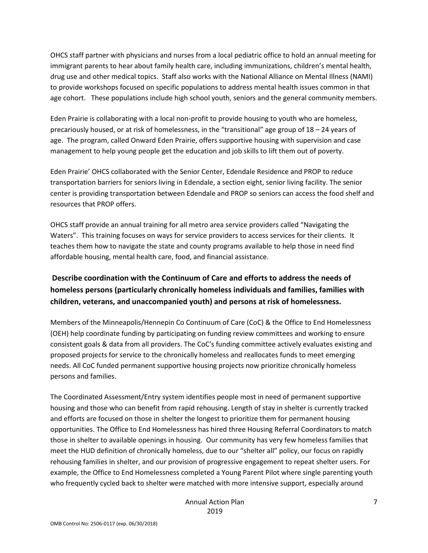OHCS staff partner with physicians and nurses from a local pediatric office to hold an annual meeting for immigrant parents to hear about family health care, including immunizations, children's mental health, drug use and other medical topics. Staff also works with the National Alliance on Mental Illness (NAMI) to provide workshops focused on specific populations to address mental health issues common in that age cohort. These populations include high school youth, seniors and the general community members.

Eden Prairie is collaborating with a local non-profit to provide housing to youth who are homeless, precariously housed, or at risk of homelessness, in the "transitional" age group of 18 – 24 years of age. The program, called Onward Eden Prairie, offers supportive housing with supervision and case management to help young people get the education and job skills to lift them out of poverty.

Eden Prairie' OHCS collaborated with the Senior Center, Edendale Residence and PROP to reduce transportation barriers for seniors living in Edendale, a section eight, senior living facility. The senior center is providing transportation between Edendale and PROP so seniors can access the food shelf and resources that PROP offers.

OHCS staff provide an annual training for all metro area service providers called "Navigating the Waters". This training focuses on ways for service providers to access services for their clients. It teaches them how to navigate the state and county programs available to help those in need find affordable housing, mental health care, food, and financial assistance.

## **Describe coordination with the Continuum of Care and efforts to address the needs of homeless persons (particularly chronically homeless individuals and families, families with children, veterans, and unaccompanied youth) and persons at risk of homelessness.**

Members of the Minneapolis/Hennepin Co Continuum of Care (CoC) & the Office to End Homelessness (OEH) help coordinate funding by participating on funding review committees and working to ensure consistent goals & data from all providers. The CoC's funding committee actively evaluates existing and proposed projects for service to the chronically homeless and reallocates funds to meet emerging needs. All CoC funded permanent supportive housing projects now prioritize chronically homeless persons and families.

The Coordinated Assessment/Entry system identifies people most in need of permanent supportive housing and those who can benefit from rapid rehousing. Length of stay in shelter is currently tracked and efforts are focused on those in shelter the longest to prioritize them for permanent housing opportunities. The Office to End Homelessness has hired three Housing Referral Coordinators to match those in shelter to available openings in housing. Our community has very few homeless families that meet the HUD definition of chronically homeless, due to our "shelter all" policy, our focus on rapidly rehousing families in shelter, and our provision of progressive engagement to repeat shelter users. For example, the Office to End Homelessness completed a Young Parent Pilot where single parenting youth who frequently cycled back to shelter were matched with more intensive support, especially around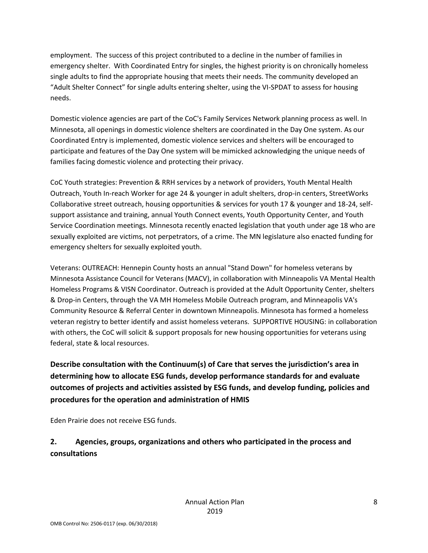employment. The success of this project contributed to a decline in the number of families in emergency shelter. With Coordinated Entry for singles, the highest priority is on chronically homeless single adults to find the appropriate housing that meets their needs. The community developed an "Adult Shelter Connect" for single adults entering shelter, using the VI-SPDAT to assess for housing needs.

Domestic violence agencies are part of the CoC's Family Services Network planning process as well. In Minnesota, all openings in domestic violence shelters are coordinated in the Day One system. As our Coordinated Entry is implemented, domestic violence services and shelters will be encouraged to participate and features of the Day One system will be mimicked acknowledging the unique needs of families facing domestic violence and protecting their privacy.

CoC Youth strategies: Prevention & RRH services by a network of providers, Youth Mental Health Outreach, Youth In-reach Worker for age 24 & younger in adult shelters, drop-in centers, StreetWorks Collaborative street outreach, housing opportunities & services for youth 17 & younger and 18-24, selfsupport assistance and training, annual Youth Connect events, Youth Opportunity Center, and Youth Service Coordination meetings. Minnesota recently enacted legislation that youth under age 18 who are sexually exploited are victims, not perpetrators, of a crime. The MN legislature also enacted funding for emergency shelters for sexually exploited youth.

Veterans: OUTREACH: Hennepin County hosts an annual "Stand Down" for homeless veterans by Minnesota Assistance Council for Veterans (MACV), in collaboration with Minneapolis VA Mental Health Homeless Programs & VISN Coordinator. Outreach is provided at the Adult Opportunity Center, shelters & Drop-in Centers, through the VA MH Homeless Mobile Outreach program, and Minneapolis VA's Community Resource & Referral Center in downtown Minneapolis. Minnesota has formed a homeless veteran registry to better identify and assist homeless veterans. SUPPORTIVE HOUSING: in collaboration with others, the CoC will solicit & support proposals for new housing opportunities for veterans using federal, state & local resources.

**Describe consultation with the Continuum(s) of Care that serves the jurisdiction's area in determining how to allocate ESG funds, develop performance standards for and evaluate outcomes of projects and activities assisted by ESG funds, and develop funding, policies and procedures for the operation and administration of HMIS**

Eden Prairie does not receive ESG funds.

## **2. Agencies, groups, organizations and others who participated in the process and consultations**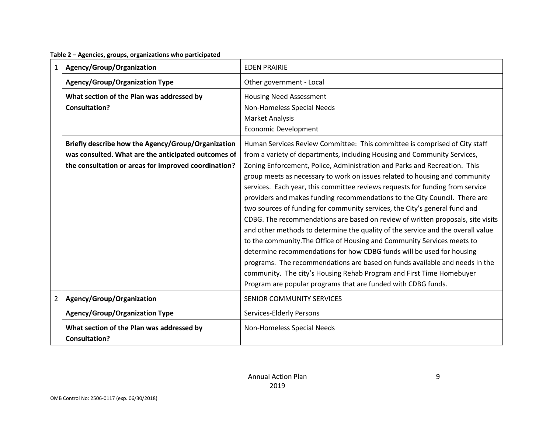1 | **Agency/Group/Organization** | EDEN PRAIRIE **Agency/Group/Organization Type**  $\vert$  Other government - Local **What section of the Plan was addressed by Consultation?** Housing Need Assessment Non-Homeless Special Needs Market Analysis Economic Development **Briefly describe how the Agency/Group/Organization was consulted. What are the anticipated outcomes of the consultation or areas for improved coordination?** Human Services Review Committee: This committee is comprised of City staff from a variety of departments, including Housing and Community Services, Zoning Enforcement, Police, Administration and Parks and Recreation. This group meets as necessary to work on issues related to housing and community services. Each year, this committee reviews requests for funding from service providers and makes funding recommendations to the City Council. There are two sources of funding for community services, the City's general fund and CDBG. The recommendations are based on review of written proposals, site visits and other methods to determine the quality of the service and the overall value to the community.The Office of Housing and Community Services meets to determine recommendations for how CDBG funds will be used for housing programs. The recommendations are based on funds available and needs in the community. The city's Housing Rehab Program and First Time Homebuyer Program are popular programs that are funded with CDBG funds. 2 | Agency/Group/Organization | SENIOR COMMUNITY SERVICES Agency/Group/Organization Type **Services-Elderly Persons What section of the Plan was addressed by Consultation?** Non-Homeless Special Needs

**Table 2 – Agencies, groups, organizations who participated**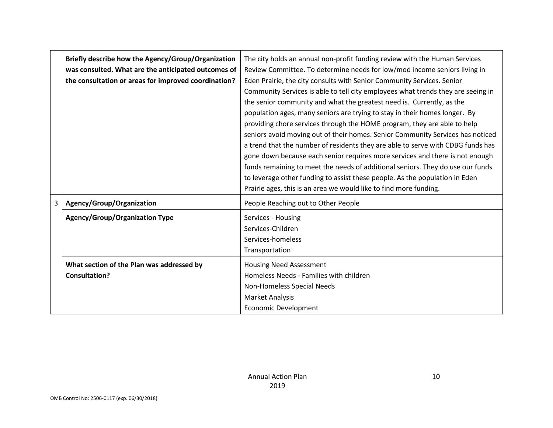|   | Briefly describe how the Agency/Group/Organization   | The city holds an annual non-profit funding review with the Human Services       |
|---|------------------------------------------------------|----------------------------------------------------------------------------------|
|   | was consulted. What are the anticipated outcomes of  | Review Committee. To determine needs for low/mod income seniors living in        |
|   | the consultation or areas for improved coordination? | Eden Prairie, the city consults with Senior Community Services. Senior           |
|   |                                                      | Community Services is able to tell city employees what trends they are seeing in |
|   |                                                      | the senior community and what the greatest need is. Currently, as the            |
|   |                                                      | population ages, many seniors are trying to stay in their homes longer. By       |
|   |                                                      | providing chore services through the HOME program, they are able to help         |
|   |                                                      | seniors avoid moving out of their homes. Senior Community Services has noticed   |
|   |                                                      | a trend that the number of residents they are able to serve with CDBG funds has  |
|   |                                                      | gone down because each senior requires more services and there is not enough     |
|   |                                                      | funds remaining to meet the needs of additional seniors. They do use our funds   |
|   |                                                      | to leverage other funding to assist these people. As the population in Eden      |
|   |                                                      | Prairie ages, this is an area we would like to find more funding.                |
| 3 | Agency/Group/Organization                            | People Reaching out to Other People                                              |
|   | <b>Agency/Group/Organization Type</b>                | Services - Housing                                                               |
|   |                                                      | Services-Children                                                                |
|   |                                                      | Services-homeless                                                                |
|   |                                                      | Transportation                                                                   |
|   | What section of the Plan was addressed by            | <b>Housing Need Assessment</b>                                                   |
|   | <b>Consultation?</b>                                 | Homeless Needs - Families with children                                          |
|   |                                                      | Non-Homeless Special Needs                                                       |
|   |                                                      | <b>Market Analysis</b>                                                           |
|   |                                                      | <b>Economic Development</b>                                                      |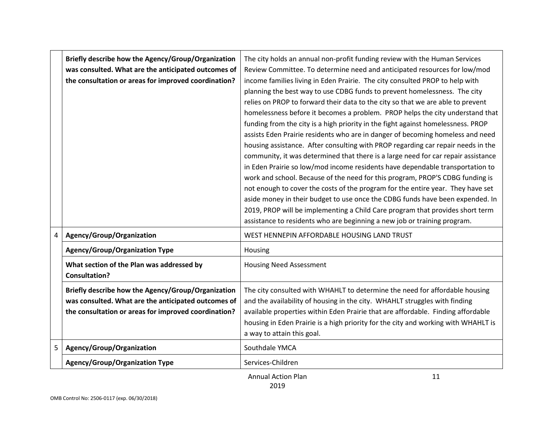|   | Briefly describe how the Agency/Group/Organization<br>was consulted. What are the anticipated outcomes of<br>the consultation or areas for improved coordination? | The city holds an annual non-profit funding review with the Human Services<br>Review Committee. To determine need and anticipated resources for low/mod<br>income families living in Eden Prairie. The city consulted PROP to help with<br>planning the best way to use CDBG funds to prevent homelessness. The city<br>relies on PROP to forward their data to the city so that we are able to prevent<br>homelessness before it becomes a problem. PROP helps the city understand that<br>funding from the city is a high priority in the fight against homelessness. PROP<br>assists Eden Prairie residents who are in danger of becoming homeless and need<br>housing assistance. After consulting with PROP regarding car repair needs in the<br>community, it was determined that there is a large need for car repair assistance<br>in Eden Prairie so low/mod income residents have dependable transportation to<br>work and school. Because of the need for this program, PROP'S CDBG funding is<br>not enough to cover the costs of the program for the entire year. They have set<br>aside money in their budget to use once the CDBG funds have been expended. In<br>2019, PROP will be implementing a Child Care program that provides short term<br>assistance to residents who are beginning a new job or training program. |
|---|-------------------------------------------------------------------------------------------------------------------------------------------------------------------|--------------------------------------------------------------------------------------------------------------------------------------------------------------------------------------------------------------------------------------------------------------------------------------------------------------------------------------------------------------------------------------------------------------------------------------------------------------------------------------------------------------------------------------------------------------------------------------------------------------------------------------------------------------------------------------------------------------------------------------------------------------------------------------------------------------------------------------------------------------------------------------------------------------------------------------------------------------------------------------------------------------------------------------------------------------------------------------------------------------------------------------------------------------------------------------------------------------------------------------------------------------------------------------------------------------------------------------------|
| 4 | Agency/Group/Organization                                                                                                                                         | WEST HENNEPIN AFFORDABLE HOUSING LAND TRUST                                                                                                                                                                                                                                                                                                                                                                                                                                                                                                                                                                                                                                                                                                                                                                                                                                                                                                                                                                                                                                                                                                                                                                                                                                                                                                |
|   | <b>Agency/Group/Organization Type</b>                                                                                                                             | Housing                                                                                                                                                                                                                                                                                                                                                                                                                                                                                                                                                                                                                                                                                                                                                                                                                                                                                                                                                                                                                                                                                                                                                                                                                                                                                                                                    |
|   | What section of the Plan was addressed by<br><b>Consultation?</b>                                                                                                 | <b>Housing Need Assessment</b>                                                                                                                                                                                                                                                                                                                                                                                                                                                                                                                                                                                                                                                                                                                                                                                                                                                                                                                                                                                                                                                                                                                                                                                                                                                                                                             |
|   | Briefly describe how the Agency/Group/Organization<br>was consulted. What are the anticipated outcomes of<br>the consultation or areas for improved coordination? | The city consulted with WHAHLT to determine the need for affordable housing<br>and the availability of housing in the city. WHAHLT struggles with finding<br>available properties within Eden Prairie that are affordable. Finding affordable<br>housing in Eden Prairie is a high priority for the city and working with WHAHLT is<br>a way to attain this goal.                                                                                                                                                                                                                                                                                                                                                                                                                                                                                                                                                                                                                                                                                                                                                                                                                                                                                                                                                                          |
| 5 | Agency/Group/Organization                                                                                                                                         | Southdale YMCA                                                                                                                                                                                                                                                                                                                                                                                                                                                                                                                                                                                                                                                                                                                                                                                                                                                                                                                                                                                                                                                                                                                                                                                                                                                                                                                             |
|   | <b>Agency/Group/Organization Type</b>                                                                                                                             | Services-Children                                                                                                                                                                                                                                                                                                                                                                                                                                                                                                                                                                                                                                                                                                                                                                                                                                                                                                                                                                                                                                                                                                                                                                                                                                                                                                                          |

Annual Action Plan

11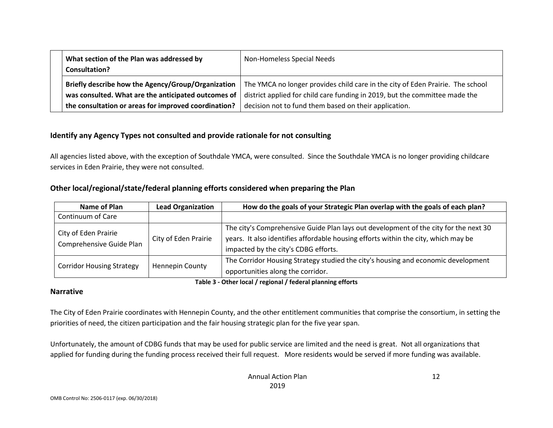| What section of the Plan was addressed by<br><b>Consultation?</b> | Non-Homeless Special Needs                                                                                                              |
|-------------------------------------------------------------------|-----------------------------------------------------------------------------------------------------------------------------------------|
|                                                                   | Briefly describe how the Agency/Group/Organization   The YMCA no longer provides child care in the city of Eden Prairie. The school     |
|                                                                   | was consulted. What are the anticipated outcomes of $\vert$ district applied for child care funding in 2019, but the committee made the |
| the consultation or areas for improved coordination?              | decision not to fund them based on their application.                                                                                   |

#### **Identify any Agency Types not consulted and provide rationale for not consulting**

All agencies listed above, with the exception of Southdale YMCA, were consulted. Since the Southdale YMCA is no longer providing childcare services in Eden Prairie, they were not consulted.

#### **Other local/regional/state/federal planning efforts considered when preparing the Plan**

| Name of Plan                                     | <b>Lead Organization</b> | How do the goals of your Strategic Plan overlap with the goals of each plan?                                                                                                                                       |
|--------------------------------------------------|--------------------------|--------------------------------------------------------------------------------------------------------------------------------------------------------------------------------------------------------------------|
| Continuum of Care                                |                          |                                                                                                                                                                                                                    |
| City of Eden Prairie<br>Comprehensive Guide Plan | City of Eden Prairie     | The city's Comprehensive Guide Plan lays out development of the city for the next 30<br>years. It also identifies affordable housing efforts within the city, which may be<br>impacted by the city's CDBG efforts. |
| <b>Corridor Housing Strategy</b>                 | <b>Hennepin County</b>   | The Corridor Housing Strategy studied the city's housing and economic development<br>opportunities along the corridor.                                                                                             |

#### **Table 3 - Other local / regional / federal planning efforts**

#### **Narrative**

The City of Eden Prairie coordinates with Hennepin County, and the other entitlement communities that comprise the consortium, in setting the priorities of need, the citizen participation and the fair housing strategic plan for the five year span.

Unfortunately, the amount of CDBG funds that may be used for public service are limited and the need is great. Not all organizations that applied for funding during the funding process received their full request. More residents would be served if more funding was available.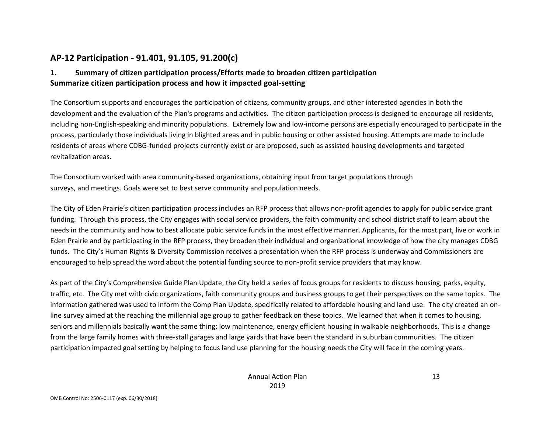## **AP-12 Participation - 91.401, 91.105, 91.200(c)**

#### **1. Summary of citizen participation process/Efforts made to broaden citizen participation Summarize citizen participation process and how it impacted goal-setting**

The Consortium supports and encourages the participation of citizens, community groups, and other interested agencies in both the development and the evaluation of the Plan's programs and activities. The citizen participation process is designed to encourage all residents, including non-English-speaking and minority populations. Extremely low and low-income persons are especially encouraged to participate in the process, particularly those individuals living in blighted areas and in public housing or other assisted housing. Attempts are made to include residents of areas where CDBG-funded projects currently exist or are proposed, such as assisted housing developments and targeted revitalization areas.

The Consortium worked with area community-based organizations, obtaining input from target populations through surveys, and meetings. Goals were set to best serve community and population needs.

The City of Eden Prairie's citizen participation process includes an RFP process that allows non-profit agencies to apply for public service grant funding. Through this process, the City engages with social service providers, the faith community and school district staff to learn about the needs in the community and how to best allocate pubic service funds in the most effective manner. Applicants, for the most part, live or work in Eden Prairie and by participating in the RFP process, they broaden their individual and organizational knowledge of how the city manages CDBG funds. The City's Human Rights & Diversity Commission receives a presentation when the RFP process is underway and Commissioners are encouraged to help spread the word about the potential funding source to non-profit service providers that may know.

As part of the City's Comprehensive Guide Plan Update, the City held a series of focus groups for residents to discuss housing, parks, equity, traffic, etc. The City met with civic organizations, faith community groups and business groups to get their perspectives on the same topics. The information gathered was used to inform the Comp Plan Update, specifically related to affordable housing and land use. The city created an online survey aimed at the reaching the millennial age group to gather feedback on these topics. We learned that when it comes to housing, seniors and millennials basically want the same thing; low maintenance, energy efficient housing in walkable neighborhoods. This is a change from the large family homes with three-stall garages and large yards that have been the standard in suburban communities. The citizen participation impacted goal setting by helping to focus land use planning for the housing needs the City will face in the coming years.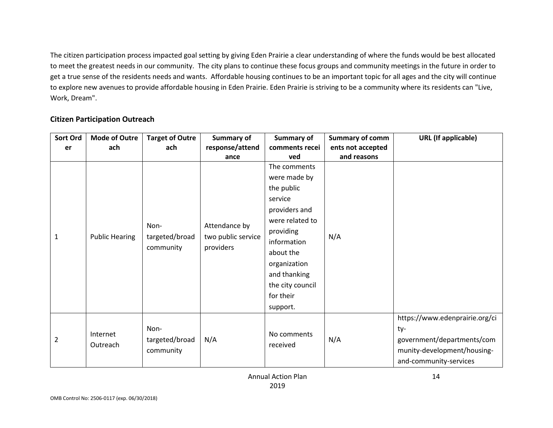The citizen participation process impacted goal setting by giving Eden Prairie a clear understanding of where the funds would be best allocated to meet the greatest needs in our community. The city plans to continue these focus groups and community meetings in the future in order to get a true sense of the residents needs and wants. Affordable housing continues to be an important topic for all ages and the city will continue to explore new avenues to provide affordable housing in Eden Prairie. Eden Prairie is striving to be a community where its residents can "Live, Work, Dream".

#### **Citizen Participation Outreach**

| Sort Ord       | <b>Mode of Outre</b>  | <b>Target of Outre</b>              | <b>Summary of</b>                                | Summary of                                                                                                                                                                                                      | <b>Summary of comm</b> | <b>URL</b> (If applicable)                                                                                                   |
|----------------|-----------------------|-------------------------------------|--------------------------------------------------|-----------------------------------------------------------------------------------------------------------------------------------------------------------------------------------------------------------------|------------------------|------------------------------------------------------------------------------------------------------------------------------|
| er             | ach                   | ach                                 | response/attend                                  | comments recei                                                                                                                                                                                                  | ents not accepted      |                                                                                                                              |
|                |                       |                                     | ance                                             | ved                                                                                                                                                                                                             | and reasons            |                                                                                                                              |
| 1              | <b>Public Hearing</b> | Non-<br>targeted/broad<br>community | Attendance by<br>two public service<br>providers | The comments<br>were made by<br>the public<br>service<br>providers and<br>were related to<br>providing<br>information<br>about the<br>organization<br>and thanking<br>the city council<br>for their<br>support. | N/A                    |                                                                                                                              |
| $\overline{2}$ | Internet<br>Outreach  | Non-<br>targeted/broad<br>community | N/A                                              | No comments<br>received                                                                                                                                                                                         | N/A                    | https://www.edenprairie.org/ci<br>ty-<br>government/departments/com<br>munity-development/housing-<br>and-community-services |

Annual Action Plan 2019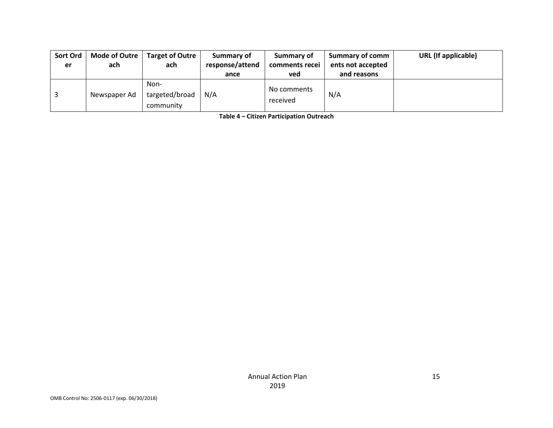| Sort Ord<br>er | <b>Mode of Outre</b><br>ach | <b>Target of Outre</b><br>ach       | Summary of<br>response/attend | Summary of<br>comments recei | Summary of comm<br>ents not accepted | <b>URL</b> (If applicable) |
|----------------|-----------------------------|-------------------------------------|-------------------------------|------------------------------|--------------------------------------|----------------------------|
|                |                             |                                     | ance                          | ved                          | and reasons                          |                            |
|                | Newspaper Ad                | Non-<br>targeted/broad<br>community | N/A                           | No comments<br>received      | N/A                                  |                            |

**Table 4 – Citizen Participation Outreach**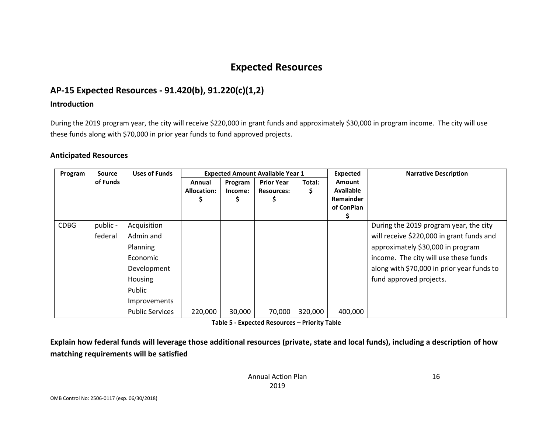## **Expected Resources**

## **AP-15 Expected Resources - 91.420(b), 91.220(c)(1,2)**

#### **Introduction**

During the 2019 program year, the city will receive \$220,000 in grant funds and approximately \$30,000 in program income. The city will use these funds along with \$70,000 in prior year funds to fund approved projects.

#### **Anticipated Resources**

| Program     | Source   | <b>Uses of Funds</b>   | <b>Expected Amount Available Year 1</b> |         | <b>Expected</b>   | <b>Narrative Description</b> |                  |                                            |
|-------------|----------|------------------------|-----------------------------------------|---------|-------------------|------------------------------|------------------|--------------------------------------------|
|             | of Funds |                        | Annual                                  | Program | <b>Prior Year</b> | Total:                       | <b>Amount</b>    |                                            |
|             |          |                        | <b>Allocation:</b>                      | Income: | <b>Resources:</b> | \$                           | <b>Available</b> |                                            |
|             |          |                        |                                         | Ş       |                   |                              | <b>Remainder</b> |                                            |
|             |          |                        |                                         |         |                   |                              | of ConPlan       |                                            |
|             |          |                        |                                         |         |                   |                              |                  |                                            |
| <b>CDBG</b> | public - | Acquisition            |                                         |         |                   |                              |                  | During the 2019 program year, the city     |
|             | federal  | Admin and              |                                         |         |                   |                              |                  | will receive \$220,000 in grant funds and  |
|             |          | Planning               |                                         |         |                   |                              |                  | approximately \$30,000 in program          |
|             |          | Economic               |                                         |         |                   |                              |                  | income. The city will use these funds      |
|             |          | Development            |                                         |         |                   |                              |                  | along with \$70,000 in prior year funds to |
|             |          | Housing                |                                         |         |                   |                              |                  | fund approved projects.                    |
|             |          | Public                 |                                         |         |                   |                              |                  |                                            |
|             |          | Improvements           |                                         |         |                   |                              |                  |                                            |
|             |          | <b>Public Services</b> | 220,000                                 | 30,000  | 70,000            | 320,000                      | 400,000          |                                            |

**Table 5 - Expected Resources – Priority Table**

**Explain how federal funds will leverage those additional resources (private, state and local funds), including a description of how matching requirements will be satisfied**

> Annual Action Plan 2019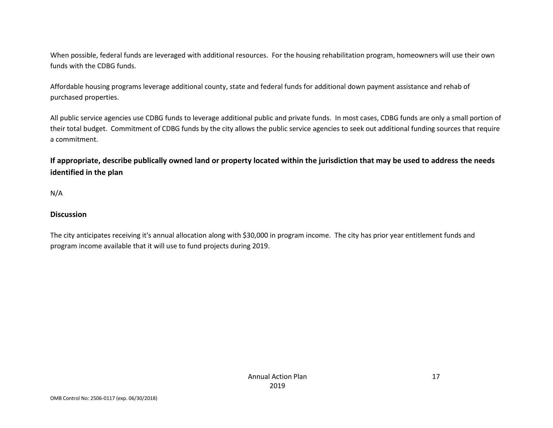When possible, federal funds are leveraged with additional resources. For the housing rehabilitation program, homeowners will use their own funds with the CDBG funds.

Affordable housing programs leverage additional county, state and federal funds for additional down payment assistance and rehab of purchased properties.

All public service agencies use CDBG funds to leverage additional public and private funds. In most cases, CDBG funds are only a small portion of their total budget. Commitment of CDBG funds by the city allows the public service agencies to seek out additional funding sources that require a commitment.

**If appropriate, describe publically owned land or property located within the jurisdiction that may be used to address the needs identified in the plan**

N/A

#### **Discussion**

The city anticipates receiving it's annual allocation along with \$30,000 in program income. The city has prior year entitlement funds and program income available that it will use to fund projects during 2019.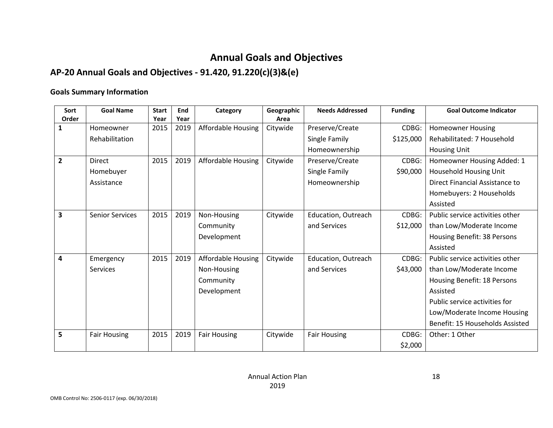## **Annual Goals and Objectives**

## **AP-20 Annual Goals and Objectives - 91.420, 91.220(c)(3)&(e)**

#### **Goals Summary Information**

| Sort<br>Order  | <b>Goal Name</b>       | <b>Start</b><br>Year | End<br>Year | Category                  | Geographic<br>Area | <b>Needs Addressed</b> | <b>Funding</b> | <b>Goal Outcome Indicator</b>   |
|----------------|------------------------|----------------------|-------------|---------------------------|--------------------|------------------------|----------------|---------------------------------|
| 1              | Homeowner              | 2015                 | 2019        | <b>Affordable Housing</b> | Citywide           | Preserve/Create        | CDBG:          | <b>Homeowner Housing</b>        |
|                | Rehabilitation         |                      |             |                           |                    | Single Family          | \$125,000      | Rehabilitated: 7 Household      |
|                |                        |                      |             |                           |                    | Homeownership          |                | <b>Housing Unit</b>             |
| $\overline{2}$ | <b>Direct</b>          | 2015                 | 2019        | <b>Affordable Housing</b> | Citywide           | Preserve/Create        | CDBG:          |                                 |
|                |                        |                      |             |                           |                    |                        |                | Homeowner Housing Added: 1      |
|                | Homebuyer              |                      |             |                           |                    | Single Family          | \$90,000       | Household Housing Unit          |
|                | Assistance             |                      |             |                           |                    | Homeownership          |                | Direct Financial Assistance to  |
|                |                        |                      |             |                           |                    |                        |                | Homebuyers: 2 Households        |
|                |                        |                      |             |                           |                    |                        |                | Assisted                        |
| 3              | <b>Senior Services</b> | 2015                 | 2019        | Non-Housing               | Citywide           | Education, Outreach    | CDBG:          | Public service activities other |
|                |                        |                      |             | Community                 |                    | and Services           | \$12,000       | than Low/Moderate Income        |
|                |                        |                      |             | Development               |                    |                        |                | Housing Benefit: 38 Persons     |
|                |                        |                      |             |                           |                    |                        |                | Assisted                        |
| 4              | Emergency              | 2015                 | 2019        | <b>Affordable Housing</b> | Citywide           | Education, Outreach    | CDBG:          | Public service activities other |
|                | Services               |                      |             | Non-Housing               |                    | and Services           | \$43,000       | than Low/Moderate Income        |
|                |                        |                      |             | Community                 |                    |                        |                | Housing Benefit: 18 Persons     |
|                |                        |                      |             | Development               |                    |                        |                | Assisted                        |
|                |                        |                      |             |                           |                    |                        |                | Public service activities for   |
|                |                        |                      |             |                           |                    |                        |                | Low/Moderate Income Housing     |
|                |                        |                      |             |                           |                    |                        |                | Benefit: 15 Households Assisted |
| 5              | <b>Fair Housing</b>    | 2015                 | 2019        | <b>Fair Housing</b>       | Citywide           | <b>Fair Housing</b>    | CDBG:          | Other: 1 Other                  |
|                |                        |                      |             |                           |                    |                        | \$2,000        |                                 |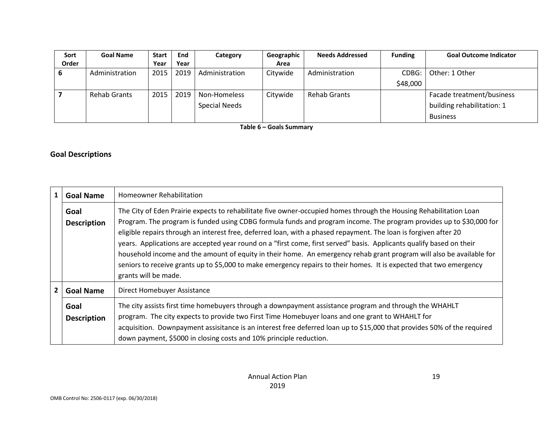| Sort  | <b>Goal Name</b>    | <b>Start</b> | End  | Category             | Geographic | <b>Needs Addressed</b> | <b>Funding</b> | <b>Goal Outcome Indicator</b> |
|-------|---------------------|--------------|------|----------------------|------------|------------------------|----------------|-------------------------------|
| Order |                     | Year         | Year |                      | Area       |                        |                |                               |
| O     | Administration      | 2015         | 2019 | Administration       | Citywide   | Administration         | CDBG:          | Other: 1 Other                |
|       |                     |              |      |                      |            |                        | \$48,000       |                               |
|       | <b>Rehab Grants</b> | 2015         | 2019 | Non-Homeless         | Citywide   | <b>Rehab Grants</b>    |                | Facade treatment/business     |
|       |                     |              |      | <b>Special Needs</b> |            |                        |                | building rehabilitation: 1    |
|       |                     |              |      |                      |            |                        |                | <b>Business</b>               |

**Table 6 – Goals Summary**

#### **Goal Descriptions**

| $\mathbf{1}$   | <b>Goal Name</b>           | Homeowner Rehabilitation                                                                                                                                                                                                                                                                                                                                                                                                                                                                                                                                                                                                                                                                                                                                     |
|----------------|----------------------------|--------------------------------------------------------------------------------------------------------------------------------------------------------------------------------------------------------------------------------------------------------------------------------------------------------------------------------------------------------------------------------------------------------------------------------------------------------------------------------------------------------------------------------------------------------------------------------------------------------------------------------------------------------------------------------------------------------------------------------------------------------------|
|                | Goal<br><b>Description</b> | The City of Eden Prairie expects to rehabilitate five owner-occupied homes through the Housing Rehabilitation Loan<br>Program. The program is funded using CDBG formula funds and program income. The program provides up to \$30,000 for<br>eligible repairs through an interest free, deferred loan, with a phased repayment. The loan is forgiven after 20<br>years. Applications are accepted year round on a "first come, first served" basis. Applicants qualify based on their<br>household income and the amount of equity in their home. An emergency rehab grant program will also be available for<br>seniors to receive grants up to \$5,000 to make emergency repairs to their homes. It is expected that two emergency<br>grants will be made. |
| $\overline{2}$ | <b>Goal Name</b>           | Direct Homebuyer Assistance                                                                                                                                                                                                                                                                                                                                                                                                                                                                                                                                                                                                                                                                                                                                  |
|                | Goal<br><b>Description</b> | The city assists first time homebuyers through a downpayment assistance program and through the WHAHLT<br>program. The city expects to provide two First Time Homebuyer loans and one grant to WHAHLT for<br>acquisition. Downpayment assisitance is an interest free deferred loan up to \$15,000 that provides 50% of the required<br>down payment, \$5000 in closing costs and 10% principle reduction.                                                                                                                                                                                                                                                                                                                                                   |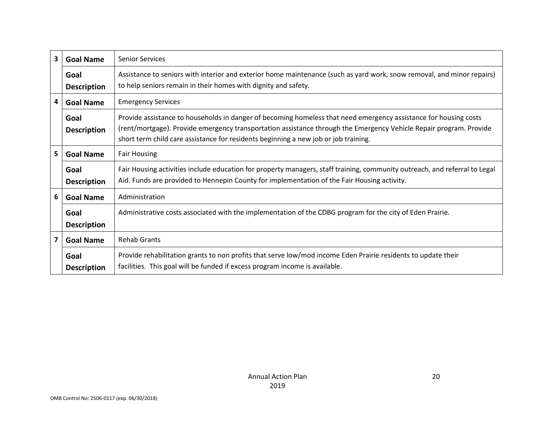| $\overline{\mathbf{3}}$ | <b>Goal Name</b>           | <b>Senior Services</b>                                                                                                                                                                                                                                                                                                        |
|-------------------------|----------------------------|-------------------------------------------------------------------------------------------------------------------------------------------------------------------------------------------------------------------------------------------------------------------------------------------------------------------------------|
|                         | Goal<br><b>Description</b> | Assistance to seniors with interior and exterior home maintenance (such as yard work, snow removal, and minor repairs)<br>to help seniors remain in their homes with dignity and safety.                                                                                                                                      |
| 4                       | <b>Goal Name</b>           | <b>Emergency Services</b>                                                                                                                                                                                                                                                                                                     |
|                         | Goal<br><b>Description</b> | Provide assistance to households in danger of becoming homeless that need emergency assistance for housing costs<br>(rent/mortgage). Provide emergency transportation assistance through the Emergency Vehicle Repair program. Provide<br>short term child care assistance for residents beginning a new job or job training. |
| 5                       | <b>Goal Name</b>           | <b>Fair Housing</b>                                                                                                                                                                                                                                                                                                           |
|                         | Goal<br><b>Description</b> | Fair Housing activities include education for property managers, staff training, community outreach, and referral to Legal<br>Aid. Funds are provided to Hennepin County for implementation of the Fair Housing activity.                                                                                                     |
| 6                       | <b>Goal Name</b>           | Administration                                                                                                                                                                                                                                                                                                                |
|                         | Goal<br><b>Description</b> | Administrative costs associated with the implementation of the CDBG program for the city of Eden Prairie.                                                                                                                                                                                                                     |
| 7                       | <b>Goal Name</b>           | <b>Rehab Grants</b>                                                                                                                                                                                                                                                                                                           |
|                         | Goal<br><b>Description</b> | Provide rehabilitation grants to non profits that serve low/mod income Eden Prairie residents to update their<br>facilities. This goal will be funded if excess program income is available.                                                                                                                                  |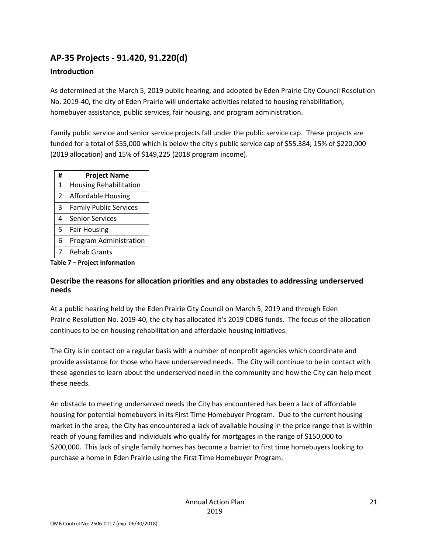## **AP-35 Projects - 91.420, 91.220(d)**

#### **Introduction**

As determined at the March 5, 2019 public hearing, and adopted by Eden Prairie City Council Resolution No. 2019-40, the city of Eden Prairie will undertake activities related to housing rehabilitation, homebuyer assistance, public services, fair housing, and program administration.

Family public service and senior service projects fall under the public service cap. These projects are funded for a total of \$55,000 which is below the city's public service cap of \$55,384; 15% of \$220,000 (2019 allocation) and 15% of \$149,225 (2018 program income).

| #              | <b>Project Name</b>           |
|----------------|-------------------------------|
| $\mathbf{1}$   | <b>Housing Rehabilitation</b> |
| $\overline{2}$ | <b>Affordable Housing</b>     |
| 3              | <b>Family Public Services</b> |
| 4              | <b>Senior Services</b>        |
| 5              | <b>Fair Housing</b>           |
| 6              | Program Administration        |
| 7              | <b>Rehab Grants</b>           |

**Table 7 – Project Information**

#### **Describe the reasons for allocation priorities and any obstacles to addressing underserved needs**

At a public hearing held by the Eden Prairie City Council on March 5, 2019 and through Eden Prairie Resolution No. 2019-40, the city has allocated it's 2019 CDBG funds. The focus of the allocation continues to be on housing rehabilitation and affordable housing initiatives.

The City is in contact on a regular basis with a number of nonprofit agencies which coordinate and provide assistance for those who have underserved needs. The City will continue to be in contact with these agencies to learn about the underserved need in the community and how the City can help meet these needs.

An obstacle to meeting underserved needs the City has encountered has been a lack of affordable housing for potential homebuyers in its First Time Homebuyer Program. Due to the current housing market in the area, the City has encountered a lack of available housing in the price range that is within reach of young families and individuals who qualify for mortgages in the range of \$150,000 to \$200,000. This lack of single family homes has become a barrier to first time homebuyers looking to purchase a home in Eden Prairie using the First Time Homebuyer Program.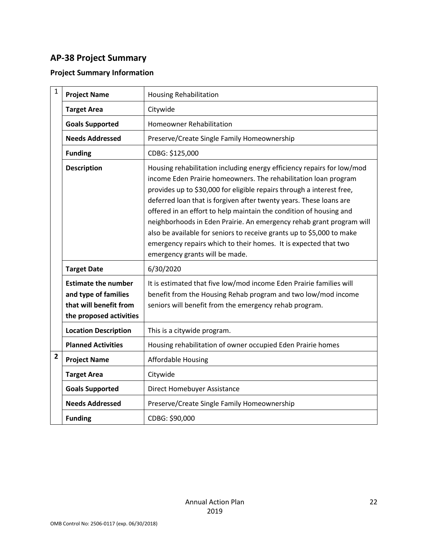## **AP-38 Project Summary**

#### **Project Summary Information**

| $\mathbf{1}$   | <b>Project Name</b>                                                                                     | <b>Housing Rehabilitation</b>                                                                                                                                                                                                                                                                                                                                                                                                                                                                                                                                                                                        |
|----------------|---------------------------------------------------------------------------------------------------------|----------------------------------------------------------------------------------------------------------------------------------------------------------------------------------------------------------------------------------------------------------------------------------------------------------------------------------------------------------------------------------------------------------------------------------------------------------------------------------------------------------------------------------------------------------------------------------------------------------------------|
|                | <b>Target Area</b>                                                                                      | Citywide                                                                                                                                                                                                                                                                                                                                                                                                                                                                                                                                                                                                             |
|                | <b>Goals Supported</b>                                                                                  | <b>Homeowner Rehabilitation</b>                                                                                                                                                                                                                                                                                                                                                                                                                                                                                                                                                                                      |
|                | <b>Needs Addressed</b>                                                                                  | Preserve/Create Single Family Homeownership                                                                                                                                                                                                                                                                                                                                                                                                                                                                                                                                                                          |
|                | <b>Funding</b>                                                                                          | CDBG: \$125,000                                                                                                                                                                                                                                                                                                                                                                                                                                                                                                                                                                                                      |
|                | <b>Description</b>                                                                                      | Housing rehabilitation including energy efficiency repairs for low/mod<br>income Eden Prairie homeowners. The rehabilitation loan program<br>provides up to \$30,000 for eligible repairs through a interest free,<br>deferred loan that is forgiven after twenty years. These loans are<br>offered in an effort to help maintain the condition of housing and<br>neighborhoods in Eden Prairie. An emergency rehab grant program will<br>also be available for seniors to receive grants up to \$5,000 to make<br>emergency repairs which to their homes. It is expected that two<br>emergency grants will be made. |
|                | <b>Target Date</b>                                                                                      | 6/30/2020                                                                                                                                                                                                                                                                                                                                                                                                                                                                                                                                                                                                            |
|                | <b>Estimate the number</b><br>and type of families<br>that will benefit from<br>the proposed activities | It is estimated that five low/mod income Eden Prairie families will<br>benefit from the Housing Rehab program and two low/mod income<br>seniors will benefit from the emergency rehab program.                                                                                                                                                                                                                                                                                                                                                                                                                       |
|                | <b>Location Description</b>                                                                             | This is a citywide program.                                                                                                                                                                                                                                                                                                                                                                                                                                                                                                                                                                                          |
|                | <b>Planned Activities</b>                                                                               | Housing rehabilitation of owner occupied Eden Prairie homes                                                                                                                                                                                                                                                                                                                                                                                                                                                                                                                                                          |
| $\overline{2}$ | <b>Project Name</b>                                                                                     | <b>Affordable Housing</b>                                                                                                                                                                                                                                                                                                                                                                                                                                                                                                                                                                                            |
|                | <b>Target Area</b>                                                                                      | Citywide                                                                                                                                                                                                                                                                                                                                                                                                                                                                                                                                                                                                             |
|                | <b>Goals Supported</b>                                                                                  | Direct Homebuyer Assistance                                                                                                                                                                                                                                                                                                                                                                                                                                                                                                                                                                                          |
|                | <b>Needs Addressed</b>                                                                                  | Preserve/Create Single Family Homeownership                                                                                                                                                                                                                                                                                                                                                                                                                                                                                                                                                                          |
|                | <b>Funding</b>                                                                                          | CDBG: \$90,000                                                                                                                                                                                                                                                                                                                                                                                                                                                                                                                                                                                                       |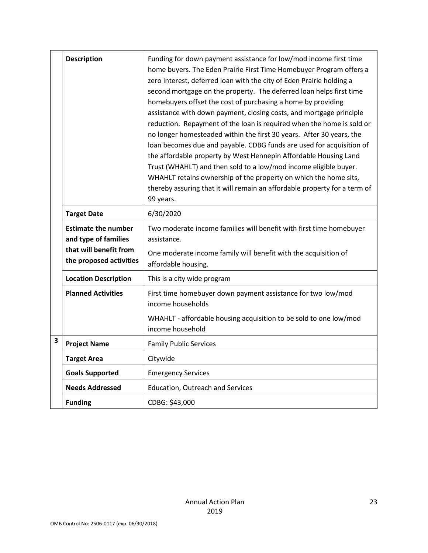|   | <b>Description</b>                                                                                      | Funding for down payment assistance for low/mod income first time<br>home buyers. The Eden Prairie First Time Homebuyer Program offers a<br>zero interest, deferred loan with the city of Eden Prairie holding a<br>second mortgage on the property. The deferred loan helps first time<br>homebuyers offset the cost of purchasing a home by providing<br>assistance with down payment, closing costs, and mortgage principle<br>reduction. Repayment of the loan is required when the home is sold or<br>no longer homesteaded within the first 30 years. After 30 years, the<br>loan becomes due and payable. CDBG funds are used for acquisition of<br>the affordable property by West Hennepin Affordable Housing Land<br>Trust (WHAHLT) and then sold to a low/mod income eligible buyer.<br>WHAHLT retains ownership of the property on which the home sits,<br>thereby assuring that it will remain an affordable property for a term of<br>99 years. |
|---|---------------------------------------------------------------------------------------------------------|---------------------------------------------------------------------------------------------------------------------------------------------------------------------------------------------------------------------------------------------------------------------------------------------------------------------------------------------------------------------------------------------------------------------------------------------------------------------------------------------------------------------------------------------------------------------------------------------------------------------------------------------------------------------------------------------------------------------------------------------------------------------------------------------------------------------------------------------------------------------------------------------------------------------------------------------------------------|
|   | <b>Target Date</b>                                                                                      | 6/30/2020                                                                                                                                                                                                                                                                                                                                                                                                                                                                                                                                                                                                                                                                                                                                                                                                                                                                                                                                                     |
|   | <b>Estimate the number</b><br>and type of families<br>that will benefit from<br>the proposed activities | Two moderate income families will benefit with first time homebuyer<br>assistance.<br>One moderate income family will benefit with the acquisition of<br>affordable housing.                                                                                                                                                                                                                                                                                                                                                                                                                                                                                                                                                                                                                                                                                                                                                                                  |
|   | <b>Location Description</b>                                                                             | This is a city wide program                                                                                                                                                                                                                                                                                                                                                                                                                                                                                                                                                                                                                                                                                                                                                                                                                                                                                                                                   |
|   | <b>Planned Activities</b>                                                                               | First time homebuyer down payment assistance for two low/mod<br>income households<br>WHAHLT - affordable housing acquisition to be sold to one low/mod<br>income household                                                                                                                                                                                                                                                                                                                                                                                                                                                                                                                                                                                                                                                                                                                                                                                    |
| 3 | <b>Project Name</b>                                                                                     | <b>Family Public Services</b>                                                                                                                                                                                                                                                                                                                                                                                                                                                                                                                                                                                                                                                                                                                                                                                                                                                                                                                                 |
|   | <b>Target Area</b>                                                                                      | Citywide                                                                                                                                                                                                                                                                                                                                                                                                                                                                                                                                                                                                                                                                                                                                                                                                                                                                                                                                                      |
|   | <b>Goals Supported</b>                                                                                  | <b>Emergency Services</b>                                                                                                                                                                                                                                                                                                                                                                                                                                                                                                                                                                                                                                                                                                                                                                                                                                                                                                                                     |
|   | <b>Needs Addressed</b>                                                                                  | <b>Education, Outreach and Services</b>                                                                                                                                                                                                                                                                                                                                                                                                                                                                                                                                                                                                                                                                                                                                                                                                                                                                                                                       |
|   | <b>Funding</b>                                                                                          | CDBG: \$43,000                                                                                                                                                                                                                                                                                                                                                                                                                                                                                                                                                                                                                                                                                                                                                                                                                                                                                                                                                |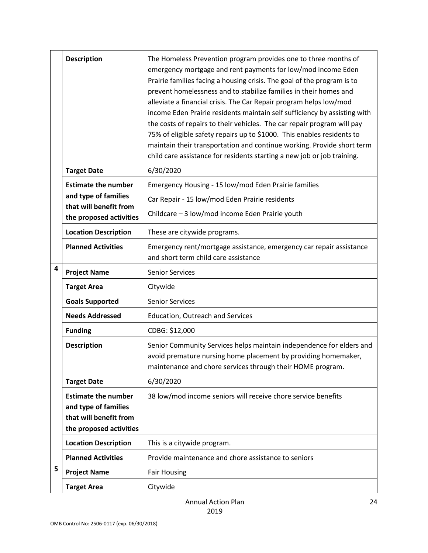|   | <b>Description</b>                             | The Homeless Prevention program provides one to three months of<br>emergency mortgage and rent payments for low/mod income Eden<br>Prairie families facing a housing crisis. The goal of the program is to<br>prevent homelessness and to stabilize families in their homes and<br>alleviate a financial crisis. The Car Repair program helps low/mod<br>income Eden Prairie residents maintain self sufficiency by assisting with<br>the costs of repairs to their vehicles. The car repair program will pay<br>75% of eligible safety repairs up to \$1000. This enables residents to<br>maintain their transportation and continue working. Provide short term<br>child care assistance for residents starting a new job or job training. |
|---|------------------------------------------------|----------------------------------------------------------------------------------------------------------------------------------------------------------------------------------------------------------------------------------------------------------------------------------------------------------------------------------------------------------------------------------------------------------------------------------------------------------------------------------------------------------------------------------------------------------------------------------------------------------------------------------------------------------------------------------------------------------------------------------------------|
|   | <b>Target Date</b>                             | 6/30/2020                                                                                                                                                                                                                                                                                                                                                                                                                                                                                                                                                                                                                                                                                                                                    |
|   | <b>Estimate the number</b>                     | Emergency Housing - 15 low/mod Eden Prairie families                                                                                                                                                                                                                                                                                                                                                                                                                                                                                                                                                                                                                                                                                         |
|   | and type of families<br>that will benefit from | Car Repair - 15 low/mod Eden Prairie residents                                                                                                                                                                                                                                                                                                                                                                                                                                                                                                                                                                                                                                                                                               |
|   | the proposed activities                        | Childcare - 3 low/mod income Eden Prairie youth                                                                                                                                                                                                                                                                                                                                                                                                                                                                                                                                                                                                                                                                                              |
|   | <b>Location Description</b>                    | These are citywide programs.                                                                                                                                                                                                                                                                                                                                                                                                                                                                                                                                                                                                                                                                                                                 |
|   | <b>Planned Activities</b>                      | Emergency rent/mortgage assistance, emergency car repair assistance<br>and short term child care assistance                                                                                                                                                                                                                                                                                                                                                                                                                                                                                                                                                                                                                                  |
| 4 | <b>Project Name</b>                            | <b>Senior Services</b>                                                                                                                                                                                                                                                                                                                                                                                                                                                                                                                                                                                                                                                                                                                       |
|   | <b>Target Area</b>                             | Citywide                                                                                                                                                                                                                                                                                                                                                                                                                                                                                                                                                                                                                                                                                                                                     |
|   | <b>Goals Supported</b>                         | <b>Senior Services</b>                                                                                                                                                                                                                                                                                                                                                                                                                                                                                                                                                                                                                                                                                                                       |
|   | <b>Needs Addressed</b>                         | Education, Outreach and Services                                                                                                                                                                                                                                                                                                                                                                                                                                                                                                                                                                                                                                                                                                             |
|   | <b>Funding</b>                                 | CDBG: \$12,000                                                                                                                                                                                                                                                                                                                                                                                                                                                                                                                                                                                                                                                                                                                               |
|   | <b>Description</b>                             | Senior Community Services helps maintain independence for elders and<br>avoid premature nursing home placement by providing homemaker,<br>maintenance and chore services through their HOME program.                                                                                                                                                                                                                                                                                                                                                                                                                                                                                                                                         |
|   | <b>Target Date</b>                             | 6/30/2020                                                                                                                                                                                                                                                                                                                                                                                                                                                                                                                                                                                                                                                                                                                                    |
|   | <b>Estimate the number</b>                     | 38 low/mod income seniors will receive chore service benefits                                                                                                                                                                                                                                                                                                                                                                                                                                                                                                                                                                                                                                                                                |
|   | and type of families<br>that will benefit from |                                                                                                                                                                                                                                                                                                                                                                                                                                                                                                                                                                                                                                                                                                                                              |
|   | the proposed activities                        |                                                                                                                                                                                                                                                                                                                                                                                                                                                                                                                                                                                                                                                                                                                                              |
|   | <b>Location Description</b>                    | This is a citywide program.                                                                                                                                                                                                                                                                                                                                                                                                                                                                                                                                                                                                                                                                                                                  |
|   | <b>Planned Activities</b>                      | Provide maintenance and chore assistance to seniors                                                                                                                                                                                                                                                                                                                                                                                                                                                                                                                                                                                                                                                                                          |
| 5 | <b>Project Name</b>                            | <b>Fair Housing</b>                                                                                                                                                                                                                                                                                                                                                                                                                                                                                                                                                                                                                                                                                                                          |
|   | <b>Target Area</b>                             | Citywide                                                                                                                                                                                                                                                                                                                                                                                                                                                                                                                                                                                                                                                                                                                                     |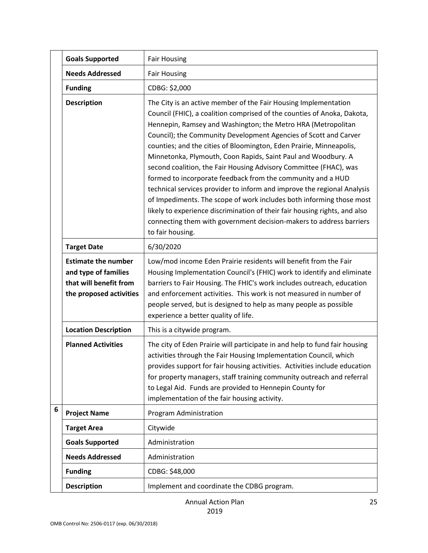|                 | <b>Goals Supported</b>                                                                                  | <b>Fair Housing</b>                                                                                                                                                                                                                                                                                                                                                                                                                                                                                                                                                                                                                                                                                                                                                                                                                                                                    |
|-----------------|---------------------------------------------------------------------------------------------------------|----------------------------------------------------------------------------------------------------------------------------------------------------------------------------------------------------------------------------------------------------------------------------------------------------------------------------------------------------------------------------------------------------------------------------------------------------------------------------------------------------------------------------------------------------------------------------------------------------------------------------------------------------------------------------------------------------------------------------------------------------------------------------------------------------------------------------------------------------------------------------------------|
|                 | <b>Needs Addressed</b>                                                                                  | <b>Fair Housing</b>                                                                                                                                                                                                                                                                                                                                                                                                                                                                                                                                                                                                                                                                                                                                                                                                                                                                    |
|                 | <b>Funding</b>                                                                                          | CDBG: \$2,000                                                                                                                                                                                                                                                                                                                                                                                                                                                                                                                                                                                                                                                                                                                                                                                                                                                                          |
|                 | <b>Description</b>                                                                                      | The City is an active member of the Fair Housing Implementation<br>Council (FHIC), a coalition comprised of the counties of Anoka, Dakota,<br>Hennepin, Ramsey and Washington; the Metro HRA (Metropolitan<br>Council); the Community Development Agencies of Scott and Carver<br>counties; and the cities of Bloomington, Eden Prairie, Minneapolis,<br>Minnetonka, Plymouth, Coon Rapids, Saint Paul and Woodbury. A<br>second coalition, the Fair Housing Advisory Committee (FHAC), was<br>formed to incorporate feedback from the community and a HUD<br>technical services provider to inform and improve the regional Analysis<br>of Impediments. The scope of work includes both informing those most<br>likely to experience discrimination of their fair housing rights, and also<br>connecting them with government decision-makers to address barriers<br>to fair housing. |
|                 | <b>Target Date</b>                                                                                      | 6/30/2020                                                                                                                                                                                                                                                                                                                                                                                                                                                                                                                                                                                                                                                                                                                                                                                                                                                                              |
|                 | <b>Estimate the number</b><br>and type of families<br>that will benefit from<br>the proposed activities | Low/mod income Eden Prairie residents will benefit from the Fair<br>Housing Implementation Council's (FHIC) work to identify and eliminate<br>barriers to Fair Housing. The FHIC's work includes outreach, education<br>and enforcement activities. This work is not measured in number of<br>people served, but is designed to help as many people as possible<br>experience a better quality of life.                                                                                                                                                                                                                                                                                                                                                                                                                                                                                |
|                 | <b>Location Description</b>                                                                             | This is a citywide program.                                                                                                                                                                                                                                                                                                                                                                                                                                                                                                                                                                                                                                                                                                                                                                                                                                                            |
|                 | <b>Planned Activities</b>                                                                               | The city of Eden Prairie will participate in and help to fund fair housing<br>activities through the Fair Housing Implementation Council, which<br>provides support for fair housing activities. Activities include education<br>for property managers, staff training community outreach and referral<br>to Legal Aid. Funds are provided to Hennepin County for<br>implementation of the fair housing activity.                                                                                                                                                                                                                                                                                                                                                                                                                                                                      |
| $6\phantom{1}6$ | <b>Project Name</b>                                                                                     | Program Administration                                                                                                                                                                                                                                                                                                                                                                                                                                                                                                                                                                                                                                                                                                                                                                                                                                                                 |
|                 | <b>Target Area</b>                                                                                      | Citywide                                                                                                                                                                                                                                                                                                                                                                                                                                                                                                                                                                                                                                                                                                                                                                                                                                                                               |
|                 | <b>Goals Supported</b>                                                                                  | Administration                                                                                                                                                                                                                                                                                                                                                                                                                                                                                                                                                                                                                                                                                                                                                                                                                                                                         |
|                 | <b>Needs Addressed</b>                                                                                  | Administration                                                                                                                                                                                                                                                                                                                                                                                                                                                                                                                                                                                                                                                                                                                                                                                                                                                                         |
|                 | <b>Funding</b>                                                                                          | CDBG: \$48,000                                                                                                                                                                                                                                                                                                                                                                                                                                                                                                                                                                                                                                                                                                                                                                                                                                                                         |
|                 | <b>Description</b>                                                                                      | Implement and coordinate the CDBG program.                                                                                                                                                                                                                                                                                                                                                                                                                                                                                                                                                                                                                                                                                                                                                                                                                                             |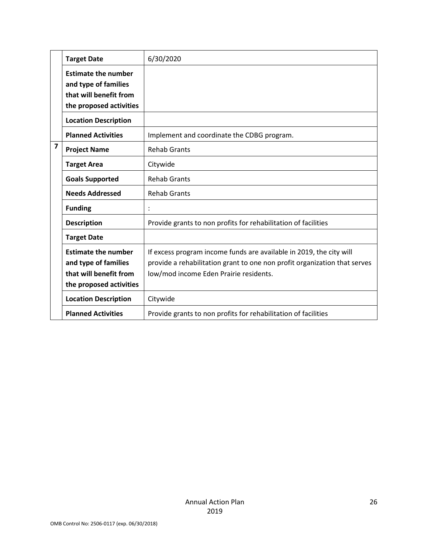|                | <b>Target Date</b>                                                                                      | 6/30/2020                                                                                                                                                                                  |
|----------------|---------------------------------------------------------------------------------------------------------|--------------------------------------------------------------------------------------------------------------------------------------------------------------------------------------------|
|                | <b>Estimate the number</b><br>and type of families<br>that will benefit from<br>the proposed activities |                                                                                                                                                                                            |
|                | <b>Location Description</b>                                                                             |                                                                                                                                                                                            |
|                | <b>Planned Activities</b>                                                                               | Implement and coordinate the CDBG program.                                                                                                                                                 |
| $\overline{7}$ | <b>Project Name</b>                                                                                     | <b>Rehab Grants</b>                                                                                                                                                                        |
|                | <b>Target Area</b>                                                                                      | Citywide                                                                                                                                                                                   |
|                | <b>Goals Supported</b>                                                                                  | <b>Rehab Grants</b>                                                                                                                                                                        |
|                | <b>Needs Addressed</b>                                                                                  | <b>Rehab Grants</b>                                                                                                                                                                        |
|                | <b>Funding</b>                                                                                          |                                                                                                                                                                                            |
|                | <b>Description</b>                                                                                      | Provide grants to non profits for rehabilitation of facilities                                                                                                                             |
|                | <b>Target Date</b>                                                                                      |                                                                                                                                                                                            |
|                | <b>Estimate the number</b><br>and type of families<br>that will benefit from<br>the proposed activities | If excess program income funds are available in 2019, the city will<br>provide a rehabilitation grant to one non profit organization that serves<br>low/mod income Eden Prairie residents. |
|                | <b>Location Description</b>                                                                             | Citywide                                                                                                                                                                                   |
|                | <b>Planned Activities</b>                                                                               | Provide grants to non profits for rehabilitation of facilities                                                                                                                             |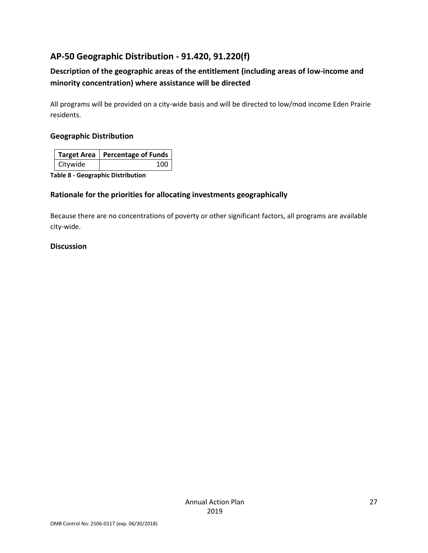## **AP-50 Geographic Distribution - 91.420, 91.220(f)**

## **Description of the geographic areas of the entitlement (including areas of low-income and minority concentration) where assistance will be directed**

All programs will be provided on a city-wide basis and will be directed to low/mod income Eden Prairie residents.

#### **Geographic Distribution**

|                 | Target Area   Percentage of Funds |
|-----------------|-----------------------------------|
| <b>Citywide</b> | 100                               |

**Table 8 - Geographic Distribution** 

#### **Rationale for the priorities for allocating investments geographically**

Because there are no concentrations of poverty or other significant factors, all programs are available city-wide.

#### **Discussion**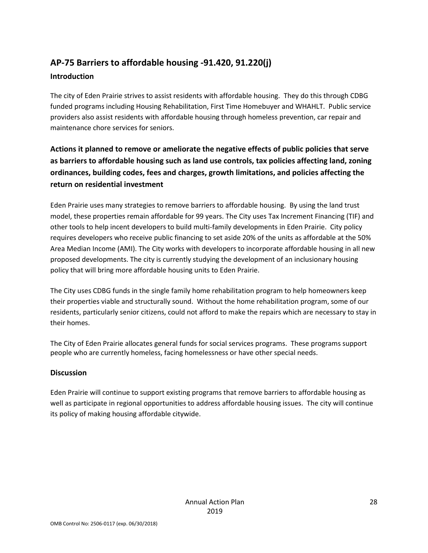## **AP-75 Barriers to affordable housing -91.420, 91.220(j) Introduction**

The city of Eden Prairie strives to assist residents with affordable housing. They do this through CDBG funded programs including Housing Rehabilitation, First Time Homebuyer and WHAHLT. Public service providers also assist residents with affordable housing through homeless prevention, car repair and maintenance chore services for seniors.

**Actions it planned to remove or ameliorate the negative effects of public policies that serve as barriers to affordable housing such as land use controls, tax policies affecting land, zoning ordinances, building codes, fees and charges, growth limitations, and policies affecting the return on residential investment**

Eden Prairie uses many strategies to remove barriers to affordable housing. By using the land trust model, these properties remain affordable for 99 years. The City uses Tax Increment Financing (TIF) and other tools to help incent developers to build multi-family developments in Eden Prairie. City policy requires developers who receive public financing to set aside 20% of the units as affordable at the 50% Area Median Income (AMI). The City works with developers to incorporate affordable housing in all new proposed developments. The city is currently studying the development of an inclusionary housing policy that will bring more affordable housing units to Eden Prairie.

The City uses CDBG funds in the single family home rehabilitation program to help homeowners keep their properties viable and structurally sound. Without the home rehabilitation program, some of our residents, particularly senior citizens, could not afford to make the repairs which are necessary to stay in their homes.

The City of Eden Prairie allocates general funds for social services programs. These programs support people who are currently homeless, facing homelessness or have other special needs.

#### **Discussion**

Eden Prairie will continue to support existing programs that remove barriers to affordable housing as well as participate in regional opportunities to address affordable housing issues. The city will continue its policy of making housing affordable citywide.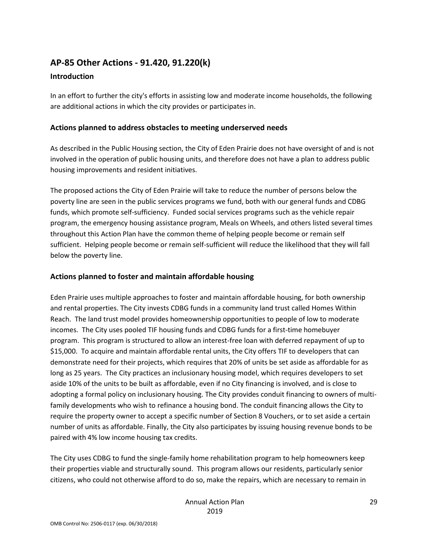## **AP-85 Other Actions - 91.420, 91.220(k)**

#### **Introduction**

In an effort to further the city's efforts in assisting low and moderate income households, the following are additional actions in which the city provides or participates in.

#### **Actions planned to address obstacles to meeting underserved needs**

As described in the Public Housing section, the City of Eden Prairie does not have oversight of and is not involved in the operation of public housing units, and therefore does not have a plan to address public housing improvements and resident initiatives.

The proposed actions the City of Eden Prairie will take to reduce the number of persons below the poverty line are seen in the public services programs we fund, both with our general funds and CDBG funds, which promote self-sufficiency. Funded social services programs such as the vehicle repair program, the emergency housing assistance program, Meals on Wheels, and others listed several times throughout this Action Plan have the common theme of helping people become or remain self sufficient. Helping people become or remain self-sufficient will reduce the likelihood that they will fall below the poverty line.

#### **Actions planned to foster and maintain affordable housing**

Eden Prairie uses multiple approaches to foster and maintain affordable housing, for both ownership and rental properties. The City invests CDBG funds in a community land trust called Homes Within Reach. The land trust model provides homeownership opportunities to people of low to moderate incomes. The City uses pooled TIF housing funds and CDBG funds for a first-time homebuyer program. This program is structured to allow an interest-free loan with deferred repayment of up to \$15,000. To acquire and maintain affordable rental units, the City offers TIF to developers that can demonstrate need for their projects, which requires that 20% of units be set aside as affordable for as long as 25 years. The City practices an inclusionary housing model, which requires developers to set aside 10% of the units to be built as affordable, even if no City financing is involved, and is close to adopting a formal policy on inclusionary housing. The City provides conduit financing to owners of multifamily developments who wish to refinance a housing bond. The conduit financing allows the City to require the property owner to accept a specific number of Section 8 Vouchers, or to set aside a certain number of units as affordable. Finally, the City also participates by issuing housing revenue bonds to be paired with 4% low income housing tax credits.

The City uses CDBG to fund the single-family home rehabilitation program to help homeowners keep their properties viable and structurally sound. This program allows our residents, particularly senior citizens, who could not otherwise afford to do so, make the repairs, which are necessary to remain in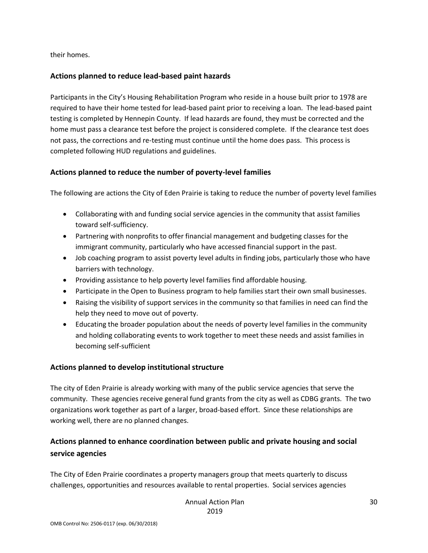their homes.

#### **Actions planned to reduce lead-based paint hazards**

Participants in the City's Housing Rehabilitation Program who reside in a house built prior to 1978 are required to have their home tested for lead-based paint prior to receiving a loan. The lead-based paint testing is completed by Hennepin County. If lead hazards are found, they must be corrected and the home must pass a clearance test before the project is considered complete. If the clearance test does not pass, the corrections and re-testing must continue until the home does pass. This process is completed following HUD regulations and guidelines.

#### **Actions planned to reduce the number of poverty-level families**

The following are actions the City of Eden Prairie is taking to reduce the number of poverty level families

- Collaborating with and funding social service agencies in the community that assist families toward self-sufficiency.
- Partnering with nonprofits to offer financial management and budgeting classes for the immigrant community, particularly who have accessed financial support in the past.
- Job coaching program to assist poverty level adults in finding jobs, particularly those who have barriers with technology.
- Providing assistance to help poverty level families find affordable housing.
- Participate in the Open to Business program to help families start their own small businesses.
- Raising the visibility of support services in the community so that families in need can find the help they need to move out of poverty.
- Educating the broader population about the needs of poverty level families in the community and holding collaborating events to work together to meet these needs and assist families in becoming self-sufficient

#### **Actions planned to develop institutional structure**

The city of Eden Prairie is already working with many of the public service agencies that serve the community. These agencies receive general fund grants from the city as well as CDBG grants. The two organizations work together as part of a larger, broad-based effort. Since these relationships are working well, there are no planned changes.

### **Actions planned to enhance coordination between public and private housing and social service agencies**

The City of Eden Prairie coordinates a property managers group that meets quarterly to discuss challenges, opportunities and resources available to rental properties. Social services agencies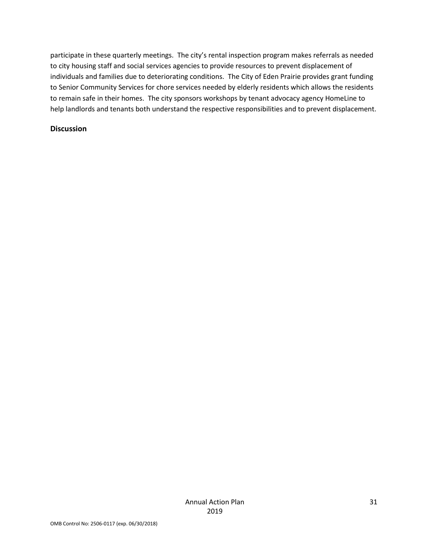participate in these quarterly meetings. The city's rental inspection program makes referrals as needed to city housing staff and social services agencies to provide resources to prevent displacement of individuals and families due to deteriorating conditions. The City of Eden Prairie provides grant funding to Senior Community Services for chore services needed by elderly residents which allows the residents to remain safe in their homes. The city sponsors workshops by tenant advocacy agency HomeLine to help landlords and tenants both understand the respective responsibilities and to prevent displacement.

#### **Discussion**